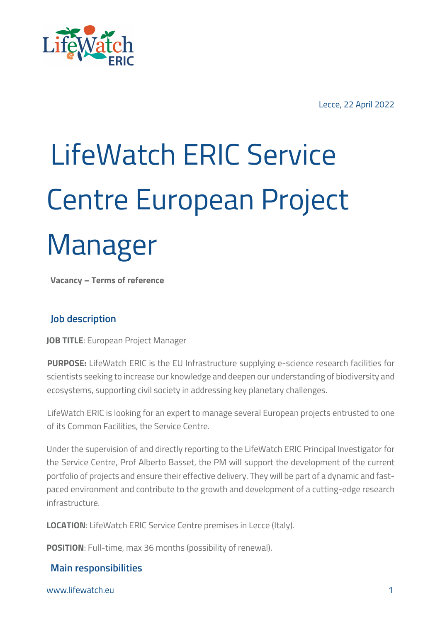

# LifeWatch ERIC Service Centre European Project Manager

**Vacancy – Terms of reference**

## **Job description**

**JOB TITLE**: European Project Manager

**PURPOSE:** LifeWatch ERIC is the EU Infrastructure supplying e-science research facilities for scientists seeking to increase our knowledge and deepen our understanding of biodiversity and ecosystems, supporting civil society in addressing key planetary challenges.

LifeWatch ERIC is looking for an expert to manage several European projects entrusted to one of its Common Facilities, the Service Centre.

Under the supervision of and directly reporting to the LifeWatch ERIC Principal Investigator for the Service Centre, Prof Alberto Basset, the PM will support the development of the current portfolio of projects and ensure their effective delivery. They will be part of a dynamic and fastpaced environment and contribute to the growth and development of a cutting-edge research infrastructure.

**LOCATION**: LifeWatch ERIC Service Centre premises in Lecce (Italy).

**POSITION**: Full-time, max 36 months (possibility of renewal).

## **Main responsibilities**

www.lifewatch.eu 1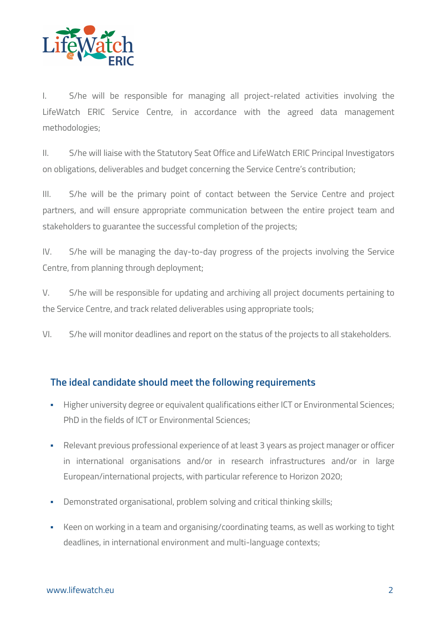

I. S/he will be responsible for managing all project-related activities involving the LifeWatch ERIC Service Centre, in accordance with the agreed data management methodologies;

II. S/he will liaise with the Statutory Seat Office and LifeWatch ERIC Principal Investigators on obligations, deliverables and budget concerning the Service Centre's contribution;

III. S/he will be the primary point of contact between the Service Centre and project partners, and will ensure appropriate communication between the entire project team and stakeholders to guarantee the successful completion of the projects;

IV. S/he will be managing the day-to-day progress of the projects involving the Service Centre, from planning through deployment;

V. S/he will be responsible for updating and archiving all project documents pertaining to the Service Centre, and track related deliverables using appropriate tools;

VI. S/he will monitor deadlines and report on the status of the projects to all stakeholders.

## **The ideal candidate should meet the following requirements**

- **Higher university degree or equivalent qualifications either ICT or Environmental Sciences;** PhD in the fields of ICT or Environmental Sciences;
- **Relevant previous professional experience of at least 3 years as project manager or officer** in international organisations and/or in research infrastructures and/or in large European/international projects, with particular reference to Horizon 2020;
- § Demonstrated organisational, problem solving and critical thinking skills;
- Keen on working in a team and organising/coordinating teams, as well as working to tight deadlines, in international environment and multi-language contexts;